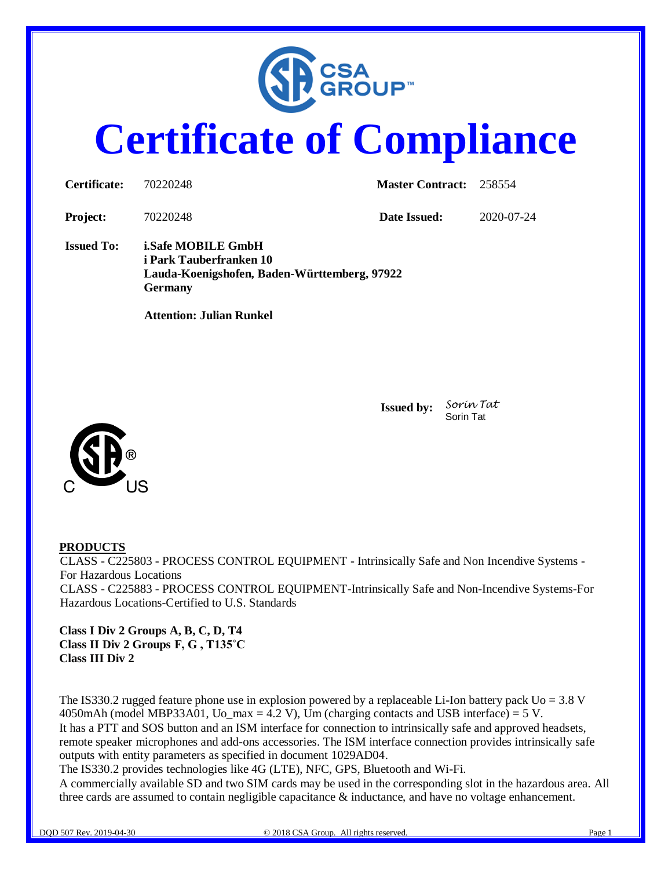

# **Certificate of Compliance**

| Certificate:      | 70220248                                                                                                               | <b>Master Contract:</b> 258554 |            |  |
|-------------------|------------------------------------------------------------------------------------------------------------------------|--------------------------------|------------|--|
| <b>Project:</b>   | 70220248                                                                                                               | Date Issued:                   | 2020-07-24 |  |
| <b>Issued To:</b> | <i>i.Safe MOBILE GmbH</i><br>i Park Tauberfranken 10<br>Lauda-Koenigshofen, Baden-Württemberg, 97922<br><b>Germany</b> |                                |            |  |
|                   | <b>Attention: Julian Runkel</b>                                                                                        |                                |            |  |

**Issued by:** *Sorin Tat* Sorin Tat



#### **PRODUCTS**

CLASS - C225803 - PROCESS CONTROL EQUIPMENT - Intrinsically Safe and Non Incendive Systems - For Hazardous Locations CLASS - C225883 - PROCESS CONTROL EQUIPMENT-Intrinsically Safe and Non-Incendive Systems-For Hazardous Locations-Certified to U.S. Standards

**Class I Div 2 Groups A, B, C, D, T4 Class II Div 2 Groups F, G , T135˚C Class III Div 2**

The IS330.2 rugged feature phone use in explosion powered by a replaceable Li-Ion battery pack  $U_0 = 3.8$  V 4050mAh (model MBP33A01, Uo\_max = 4.2 V), Um (charging contacts and USB interface) = 5 V. It has a PTT and SOS button and an ISM interface for connection to intrinsically safe and approved headsets, remote speaker microphones and add-ons accessories. The ISM interface connection provides intrinsically safe outputs with entity parameters as specified in document 1029AD04.

The IS330.2 provides technologies like 4G (LTE), NFC, GPS, Bluetooth and Wi-Fi.

A commercially available SD and two SIM cards may be used in the corresponding slot in the hazardous area. All three cards are assumed to contain negligible capacitance & inductance, and have no voltage enhancement.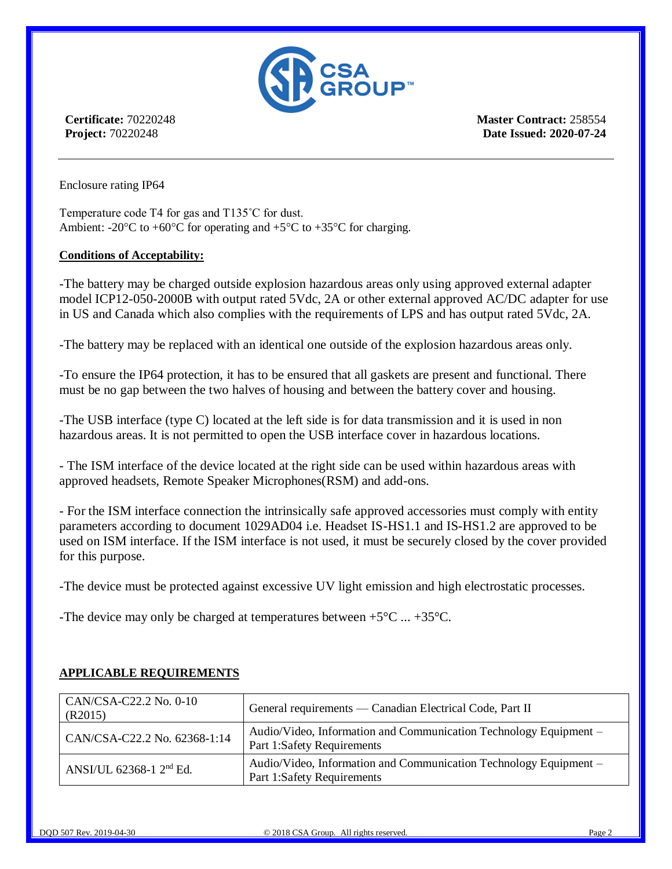

**Certificate:** 70220248 **Project:** 70220248

**Master Contract:** 258554 **Date Issued: 2020-07-24**

Enclosure rating IP64

Temperature code T4 for gas and T135˚C for dust. Ambient: -20 $^{\circ}$ C to +60 $^{\circ}$ C for operating and +5 $^{\circ}$ C to +35 $^{\circ}$ C for charging.

#### **Conditions of Acceptability:**

-The battery may be charged outside explosion hazardous areas only using approved external adapter model ICP12-050-2000B with output rated 5Vdc, 2A or other external approved AC/DC adapter for use in US and Canada which also complies with the requirements of LPS and has output rated 5Vdc, 2A.

-The battery may be replaced with an identical one outside of the explosion hazardous areas only.

-To ensure the IP64 protection, it has to be ensured that all gaskets are present and functional. There must be no gap between the two halves of housing and between the battery cover and housing.

-The USB interface (type C) located at the left side is for data transmission and it is used in non hazardous areas. It is not permitted to open the USB interface cover in hazardous locations.

- The ISM interface of the device located at the right side can be used within hazardous areas with approved headsets, Remote Speaker Microphones(RSM) and add-ons.

- For the ISM interface connection the intrinsically safe approved accessories must comply with entity parameters according to document 1029AD04 i.e. Headset IS-HS1.1 and IS-HS1.2 are approved to be used on ISM interface. If the ISM interface is not used, it must be securely closed by the cover provided for this purpose.

-The device must be protected against excessive UV light emission and high electrostatic processes.

-The device may only be charged at temperatures between  $+5^{\circ}$ C ...  $+35^{\circ}$ C.

| CAN/CSA-C22.2 No. 0-10<br>(R2015) | General requirements — Canadian Electrical Code, Part II                                        |
|-----------------------------------|-------------------------------------------------------------------------------------------------|
| CAN/CSA-C22.2 No. 62368-1:14      | Audio/Video, Information and Communication Technology Equipment –<br>Part 1:Safety Requirements |
| ANSI/UL 62368-1 $2nd$ Ed.         | Audio/Video, Information and Communication Technology Equipment –<br>Part 1:Safety Requirements |

#### **APPLICABLE REQUIREMENTS**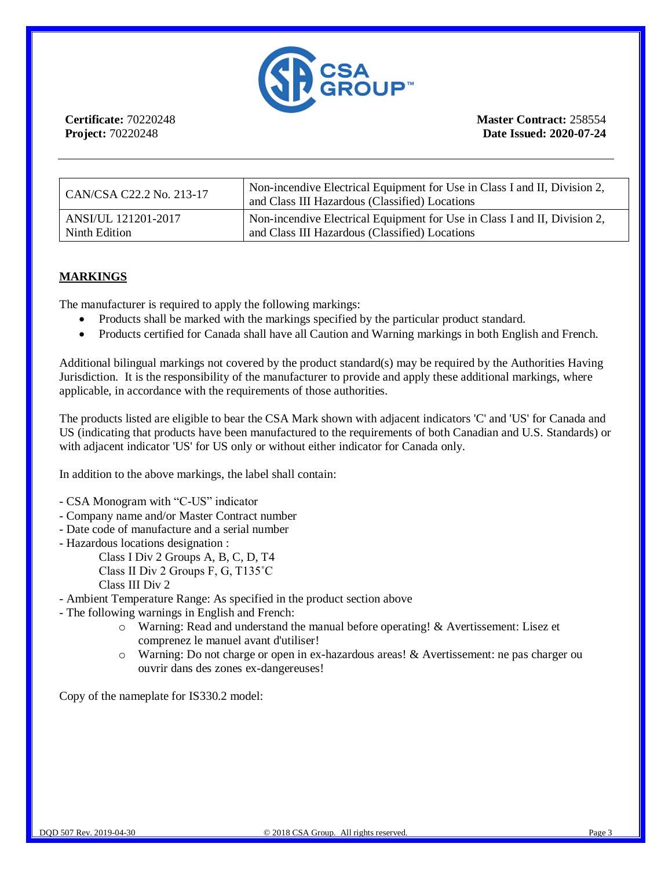

**Certificate:** 70220248 **Project:** 70220248

| CAN/CSA C22.2 No. 213-17 | Non-incendive Electrical Equipment for Use in Class I and II, Division 2,<br>and Class III Hazardous (Classified) Locations |
|--------------------------|-----------------------------------------------------------------------------------------------------------------------------|
| ANSI/UL 121201-2017      | Non-incendive Electrical Equipment for Use in Class I and II, Division 2,                                                   |
| Ninth Edition            | and Class III Hazardous (Classified) Locations                                                                              |

#### **MARKINGS**

The manufacturer is required to apply the following markings:

- Products shall be marked with the markings specified by the particular product standard.
- Products certified for Canada shall have all Caution and Warning markings in both English and French.

Additional bilingual markings not covered by the product standard(s) may be required by the Authorities Having Jurisdiction. It is the responsibility of the manufacturer to provide and apply these additional markings, where applicable, in accordance with the requirements of those authorities.

The products listed are eligible to bear the CSA Mark shown with adjacent indicators 'C' and 'US' for Canada and US (indicating that products have been manufactured to the requirements of both Canadian and U.S. Standards) or with adjacent indicator 'US' for US only or without either indicator for Canada only.

In addition to the above markings, the label shall contain:

- CSA Monogram with "C-US" indicator
- Company name and/or Master Contract number
- Date code of manufacture and a serial number
- Hazardous locations designation :

Class I Div 2 Groups A, B, C, D, T4 Class II Div 2 Groups F, G, T135˚C Class III Div 2

- Ambient Temperature Range: As specified in the product section above
- The following warnings in English and French:
	- o Warning: Read and understand the manual before operating! & Avertissement: Lisez et comprenez le manuel avant d'utiliser!
	- o Warning: Do not charge or open in ex-hazardous areas! & Avertissement: ne pas charger ou ouvrir dans des zones ex-dangereuses!

Copy of the nameplate for IS330.2 model: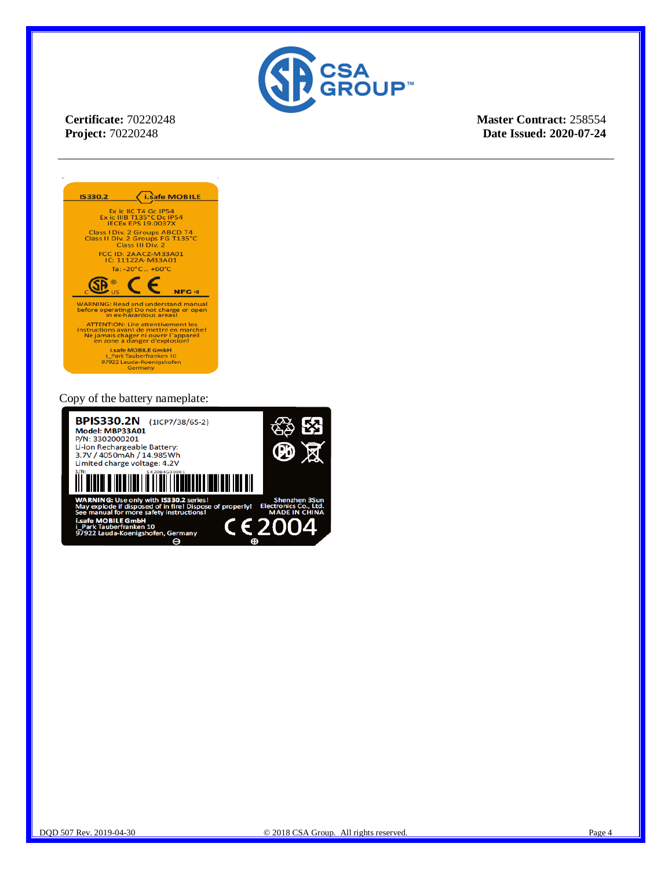

**Certificate:** 70220248 **Project:** 70220248

**Master Contract:** 258554 **Date Issued: 2020-07-24**

| <b>IS330.2</b>                                                                                                  | i.safe MOBILE                                                                                                                                                 |  |  |
|-----------------------------------------------------------------------------------------------------------------|---------------------------------------------------------------------------------------------------------------------------------------------------------------|--|--|
| Ex ic IIC T4 Gc IP54<br>Ex ic IIIB T135°C Dc IP54<br><b>IECEX EPS 19,0037X</b>                                  |                                                                                                                                                               |  |  |
| <b>Class I Div. 2 Groups ABCD T4</b><br>Class II Div. 2 Groups FG T135°C<br>Class III Div. 2                    |                                                                                                                                                               |  |  |
| <b>FCC ID: 2AACZ-M33A01</b><br>IC: 11122A-M33A01                                                                |                                                                                                                                                               |  |  |
|                                                                                                                 | Ta: -20°C +60°C                                                                                                                                               |  |  |
|                                                                                                                 | <b>NFC</b> of                                                                                                                                                 |  |  |
| <b>WARNING: Read and understand manual</b><br>before operating! Do not charge or open<br>in ex-hazardous areas! |                                                                                                                                                               |  |  |
|                                                                                                                 | <b>ATTENTION: Lire attentivement les</b><br>instructions avant de mettre en marche!<br>Ne jamais chager ni ouvrir l'appareil<br>en zone à danger d'explosion! |  |  |
|                                                                                                                 | <b>i.safe MOBILE GmbH</b><br>i Park Tauberfranken 10<br>97922 Lauda-Koenigshofen<br>Germany                                                                   |  |  |

Copy of the battery nameplate: